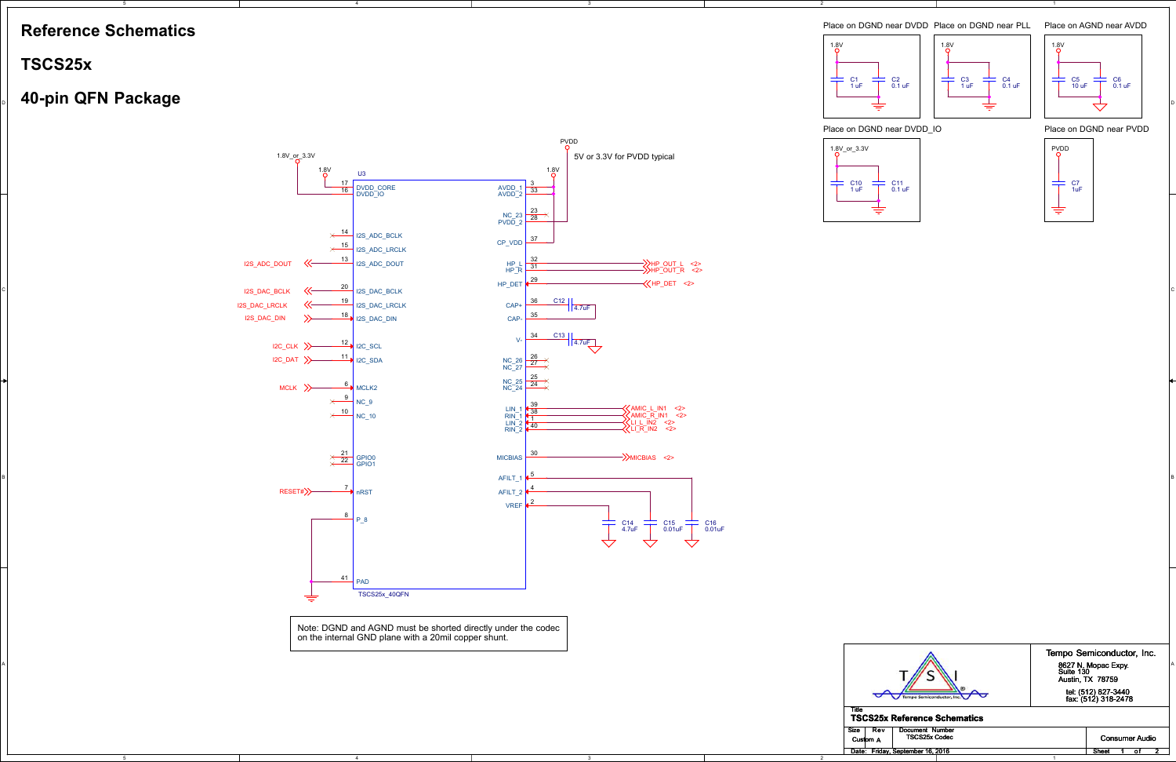5

4

4

2

2



D

### ا ا<del>لطا</del>ب التي يسا المعلمين بن المعلمين بن المعلمين بن المعلمين بن المعلمين بن المعلمين المعلمين المعلمين المعلمين ا

|  |                                                     | Tempo Semiconductor, Inc.                        |
|--|-----------------------------------------------------|--------------------------------------------------|
|  | $\mathbb{Z}$                                        | 8627 N. Monac Exp<br>OOZ.                        |
|  | $\overline{\phantom{a}}$<br><b>SILLER</b><br>$\sim$ | Suite 130<br>Austin, TX 78759                    |
|  | ,,,                                                 |                                                  |
|  |                                                     | tel: (512) 827-3440<br>$f_{AY}$ $(512)$ 318-2478 |

### Place on DGND near DVDD Place on AGND near AVDD Place on DGND near PLL

### Place on DGND near PVDD

# **Reference Schematics**

5

## **TSCS25x**

Note: DGND and AGND must be shorted directly under the codecon the internal GND plane with a 20mil copper shunt.

> TitleCust

Date

# Tempo Semiconductor, Inc.8627 N. Mopac Expy.<br>Suite 130<br>Austin, TX 78759

### tel: (512) 827-3440<br>fax: (512) 318-2478

#### **TSCS25x Reference Schematics**

| Size | Rev<br>Custom A | Document Number<br><b>TSCS25x Codec</b> |  |  |  |  |       | Consumer Audio |  |
|------|-----------------|-----------------------------------------|--|--|--|--|-------|----------------|--|
|      |                 | Date: Friday, September 16, 2016        |  |  |  |  | Sheet |                |  |
|      |                 |                                         |  |  |  |  |       |                |  |







### Place on DGND near DVDD IO





C5 10 uFC6 0.1 uF